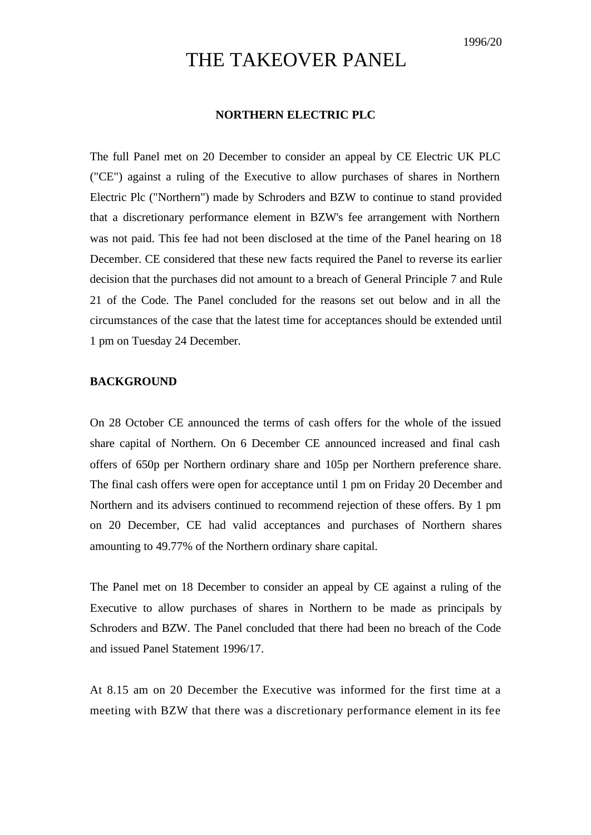## THE TAKEOVER PANEL

## **NORTHERN ELECTRIC PLC**

The full Panel met on 20 December to consider an appeal by CE Electric UK PLC ("CE") against a ruling of the Executive to allow purchases of shares in Northern Electric Plc ("Northern") made by Schroders and BZW to continue to stand provided that a discretionary performance element in BZW's fee arrangement with Northern was not paid. This fee had not been disclosed at the time of the Panel hearing on 18 December. CE considered that these new facts required the Panel to reverse its earlier decision that the purchases did not amount to a breach of General Principle 7 and Rule 21 of the Code. The Panel concluded for the reasons set out below and in all the circumstances of the case that the latest time for acceptances should be extended until 1 pm on Tuesday 24 December.

## **BACKGROUND**

On 28 October CE announced the terms of cash offers for the whole of the issued share capital of Northern. On 6 December CE announced increased and final cash offers of 650p per Northern ordinary share and 105p per Northern preference share. The final cash offers were open for acceptance until 1 pm on Friday 20 December and Northern and its advisers continued to recommend rejection of these offers. By 1 pm on 20 December, CE had valid acceptances and purchases of Northern shares amounting to 49.77% of the Northern ordinary share capital.

The Panel met on 18 December to consider an appeal by CE against a ruling of the Executive to allow purchases of shares in Northern to be made as principals by Schroders and BZW. The Panel concluded that there had been no breach of the Code and issued Panel Statement 1996/17.

At 8.15 am on 20 December the Executive was informed for the first time at a meeting with BZW that there was a discretionary performance element in its fee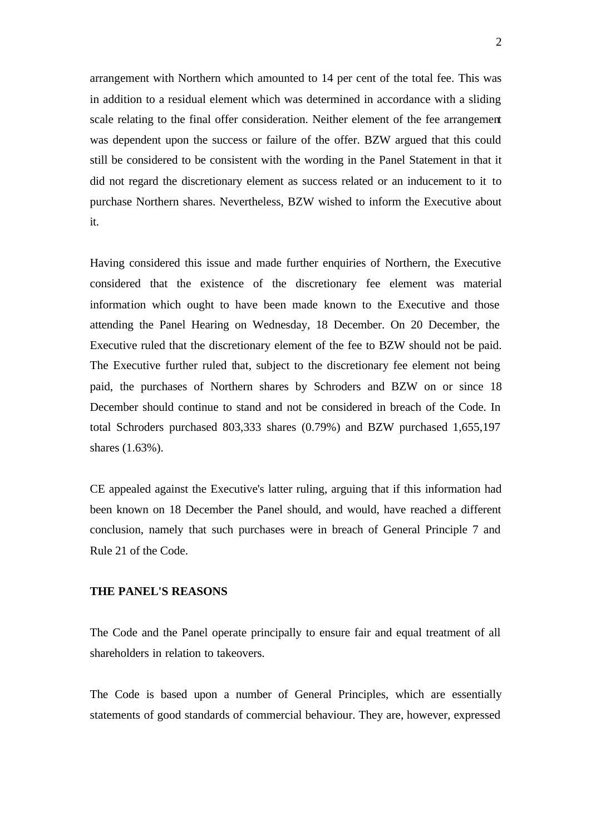arrangement with Northern which amounted to 14 per cent of the total fee. This was in addition to a residual element which was determined in accordance with a sliding scale relating to the final offer consideration. Neither element of the fee arrangement was dependent upon the success or failure of the offer. BZW argued that this could still be considered to be consistent with the wording in the Panel Statement in that it did not regard the discretionary element as success related or an inducement to it to purchase Northern shares. Nevertheless, BZW wished to inform the Executive about it.

Having considered this issue and made further enquiries of Northern, the Executive considered that the existence of the discretionary fee element was material information which ought to have been made known to the Executive and those attending the Panel Hearing on Wednesday, 18 December. On 20 December, the Executive ruled that the discretionary element of the fee to BZW should not be paid. The Executive further ruled that, subject to the discretionary fee element not being paid, the purchases of Northern shares by Schroders and BZW on or since 18 December should continue to stand and not be considered in breach of the Code. In total Schroders purchased 803,333 shares (0.79%) and BZW purchased 1,655,197 shares (1.63%).

CE appealed against the Executive's latter ruling, arguing that if this information had been known on 18 December the Panel should, and would, have reached a different conclusion, namely that such purchases were in breach of General Principle 7 and Rule 21 of the Code.

## **THE PANEL'S REASONS**

The Code and the Panel operate principally to ensure fair and equal treatment of all shareholders in relation to takeovers.

The Code is based upon a number of General Principles, which are essentially statements of good standards of commercial behaviour. They are, however, expressed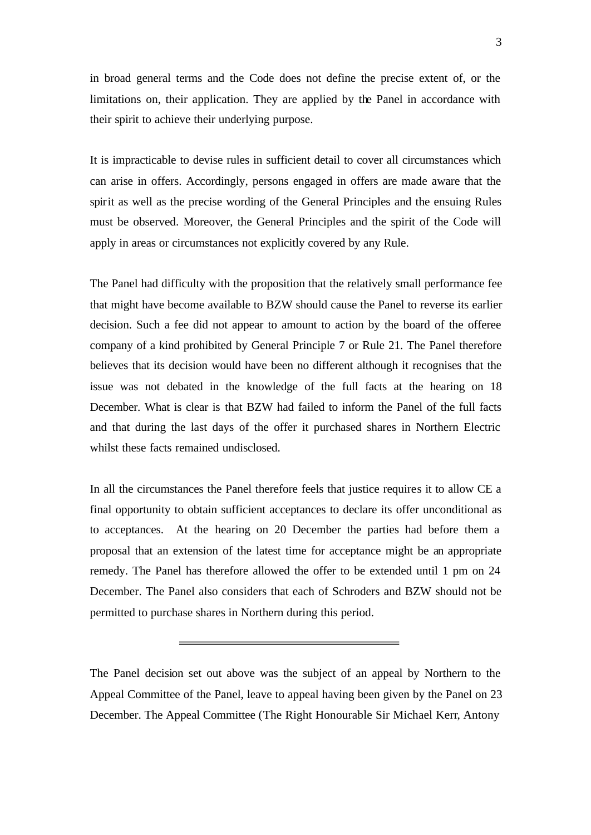in broad general terms and the Code does not define the precise extent of, or the limitations on, their application. They are applied by the Panel in accordance with their spirit to achieve their underlying purpose.

It is impracticable to devise rules in sufficient detail to cover all circumstances which can arise in offers. Accordingly, persons engaged in offers are made aware that the spirit as well as the precise wording of the General Principles and the ensuing Rules must be observed. Moreover, the General Principles and the spirit of the Code will apply in areas or circumstances not explicitly covered by any Rule.

The Panel had difficulty with the proposition that the relatively small performance fee that might have become available to BZW should cause the Panel to reverse its earlier decision. Such a fee did not appear to amount to action by the board of the offeree company of a kind prohibited by General Principle 7 or Rule 21. The Panel therefore believes that its decision would have been no different although it recognises that the issue was not debated in the knowledge of the full facts at the hearing on 18 December. What is clear is that BZW had failed to inform the Panel of the full facts and that during the last days of the offer it purchased shares in Northern Electric whilst these facts remained undisclosed.

In all the circumstances the Panel therefore feels that justice requires it to allow CE a final opportunity to obtain sufficient acceptances to declare its offer unconditional as to acceptances. At the hearing on 20 December the parties had before them a proposal that an extension of the latest time for acceptance might be an appropriate remedy. The Panel has therefore allowed the offer to be extended until 1 pm on 24 December. The Panel also considers that each of Schroders and BZW should not be permitted to purchase shares in Northern during this period.

The Panel decision set out above was the subject of an appeal by Northern to the Appeal Committee of the Panel, leave to appeal having been given by the Panel on 23 December. The Appeal Committee (The Right Honourable Sir Michael Kerr, Antony